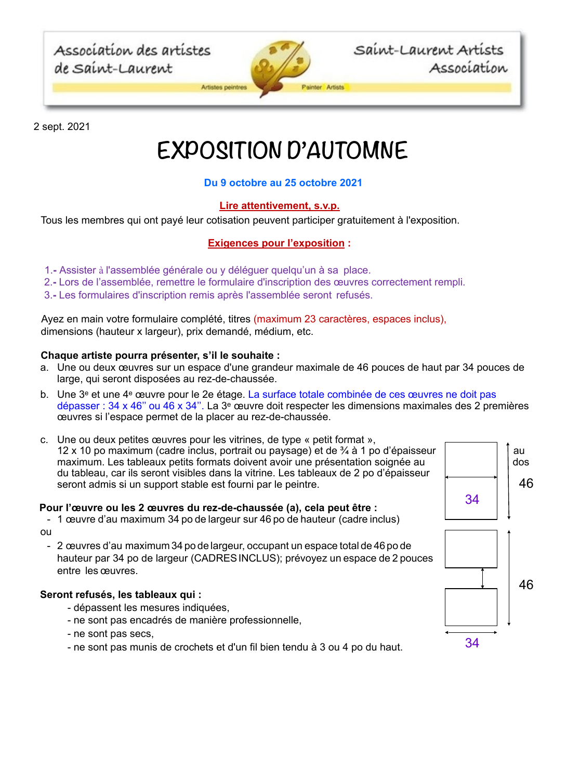Association des artistes de Saint-Laurent



Saint-Laurent Artists Association

2 sept. 2021

# **EXPOSITION D'AUTOMNE**

# **Du 9 octobre au 25 octobre 2021**

# **Lire attentivement, s.v.p.**

Tous les membres qui ont payé leur cotisation peuvent participer gratuitement à l'exposition.

## **Exigences pour l'exposition :**

- 1.Assister à l'assemblée générale ou y déléguer quelqu'un à sa place.
- 2.Lors de l'assemblée, remettre le formulaire d'inscription des œuvres correctement rempli.
- 3.Les formulaires d'inscription remis après l'assemblée seront refusés.

Ayez en main votre formulaire complété, titres (maximum 23 caractères, espaces inclus), dimensions (hauteur x largeur), prix demandé, médium, etc.

## **Chaque artiste pourra présenter, s'il le souhaite :**

- a. Une ou deux œuvres sur un espace d'une grandeur maximale de 46 pouces de haut par 34 pouces de large, qui seront disposées au rez-de-chaussée.
- b. Une 3e et une 4e œuvre pour le 2e étage. La surface totale combinée de ces œuvres ne doit pas dépasser : 34 x 46'' ou 46 x 34''. La 3e œuvre doit respecter les dimensions maximales des 2 premières œuvres si l'espace permet de la placer au rez-de-chaussée.
- c. Une ou deux petites œuvres pour les vitrines, de type « petit format », 12 x 10 po maximum (cadre inclus, portrait ou paysage) et de  $\frac{3}{4}$  à 1 po d'épaisseur  $\vert$   $\vert$  au maximum. Les tableaux petits formats doivent avoir une présentation soignée au donne des dois du tableau, car ils seront visibles dans la vitrine. Les tableaux de 2 po d'épaisseur seront admis si un support stable est fourni par le peintre.

### **Pour l'œuvre ou les 2 œuvres du rez-de-chaussée (a), cela peut être :**



- 2 œuvres d'au maximum 34 po de largeur, occupant un espace total de 46 po de hauteur par 34 po de largeur (CADRESINCLUS); prévoyez un espace de 2 pouces entre les œuvres.

### **Seront refusés, les tableaux qui :**

- dépassent les mesures indiquées,
- ne sont pas encadrés de manière professionnelle,
- ne sont pas secs,
- ne sont pas munis de crochets et d'un fil bien tendu à 3 ou 4 po du haut.  $34$

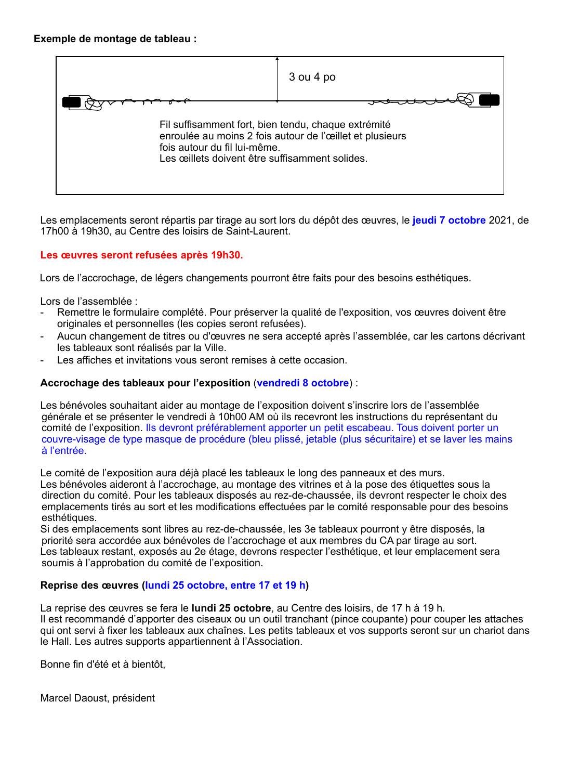

Les emplacements seront répartis par tirage au sort lors du dépôt des œuvres, le **jeudi 7 octobre** 2021, de 17h00 à 19h30, au Centre des loisirs de Saint-Laurent.

## **Les œuvres seront refusées après 19h30.**

Lors de l'accrochage, de légers changements pourront être faits pour des besoins esthétiques.

Lors de l'assemblée :

- Remettre le formulaire complété. Pour préserver la qualité de l'exposition, vos œuvres doivent être originales et personnelles (les copies seront refusées).
- Aucun changement de titres ou d'œuvres ne sera accepté après l'assemblée, car les cartons décrivant les tableaux sont réalisés par la Ville.
- Les affiches et invitations vous seront remises à cette occasion.

### **Accrochage des tableaux pour l'exposition** (**vendredi 8 octobre**) :

Les bénévoles souhaitant aider au montage de l'exposition doivent s'inscrire lors de l'assemblée générale et se présenter le vendredi à 10h00 AM où ils recevront les instructions du représentant du comité de l'exposition. Ils devront préférablement apporter un petit escabeau. Tous doivent porter un couvre-visage de type masque de procédure (bleu plissé, jetable (plus sécuritaire) et se laver les mains à l'entrée.

Le comité de l'exposition aura déjà placé les tableaux le long des panneaux et des murs. Les bénévoles aideront à l'accrochage, au montage des vitrines et à la pose des étiquettes sous la direction du comité. Pour les tableaux disposés au rez-de-chaussée, ils devront respecter le choix des emplacements tirés au sort et les modifications effectuées par le comité responsable pour des besoins esthétiques.

Si des emplacements sont libres au rez-de-chaussée, les 3e tableaux pourront y être disposés, la priorité sera accordée aux bénévoles de l'accrochage et aux membres du CA par tirage au sort. Les tableaux restant, exposés au 2e étage, devrons respecter l'esthétique, et leur emplacement sera soumis à l'approbation du comité de l'exposition.

### **Reprise des œuvres (lundi 25 octobre, entre 17 et 19 h)**

La reprise des œuvres se fera le **lundi 25 octobre**, au Centre des loisirs, de 17 h à 19 h. Il est recommandé d'apporter des ciseaux ou un outil tranchant (pince coupante) pour couper les attaches qui ont servi à fixer les tableaux aux chaînes. Les petits tableaux et vos supports seront sur un chariot dans le Hall. Les autres supports appartiennent à l'Association.

Bonne fin d'été et à bientôt,

Marcel Daoust, président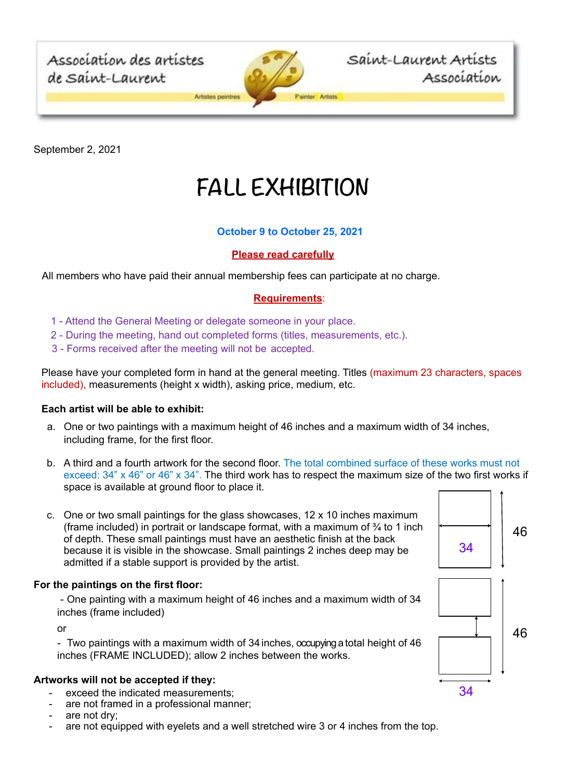

September 2, 2021

# **FALL EXHIBITION**

# **October 9 to October 25, 2021**

## **Please read carefully**

All members who have paid their annual membership fees can participate at no charge.

# **Requirements**:

- 1 Attend the General Meeting or delegate someone in your place.
- 2 During the meeting, hand out completed forms (titles, measurements, etc.).
- 3 Forms received after the meeting will not be accepted.

Please have your completed form in hand at the general meeting. Titles (maximum 23 characters, spaces included), measurements (height x width), asking price, medium, etc.

### **Each artist will be able to exhibit:**

- a. One or two paintings with a maximum height of 46 inches and a maximum width of 34 inches, including frame, for the first floor.
- b. A third and a fourth artwork for the second floor. The total combined surface of these works must not exceed: 34" x 46" or 46" x 34". The third work has to respect the maximum size of the two first works if space is available at ground floor to place it.
- c. One or two small paintings for the glass showcases, 12 x 10 inches maximum (frame included) in portrait or landscape format, with a maximum of  $\frac{3}{4}$  to 1 inch of depth. These small paintings must have an aesthetic finish at the back because it is visible in the showcase. Small paintings 2 inches deep may be admitted if a stable support is provided by the artist.

## **For the paintings on the first floor:**

- One painting with a maximum height of 46 inches and a maximum width of 34 inches (frame included)

or

- Two paintings with a maximum width of 34 inches, occupying a total height of 46 inches (FRAME INCLUDED); allow 2 inches between the works.

### **Artworks will not be accepted if they:**

- exceed the indicated measurements;
- are not framed in a professional manner;
- are not dry:
- are not equipped with eyelets and a well stretched wire 3 or 4 inches from the top.